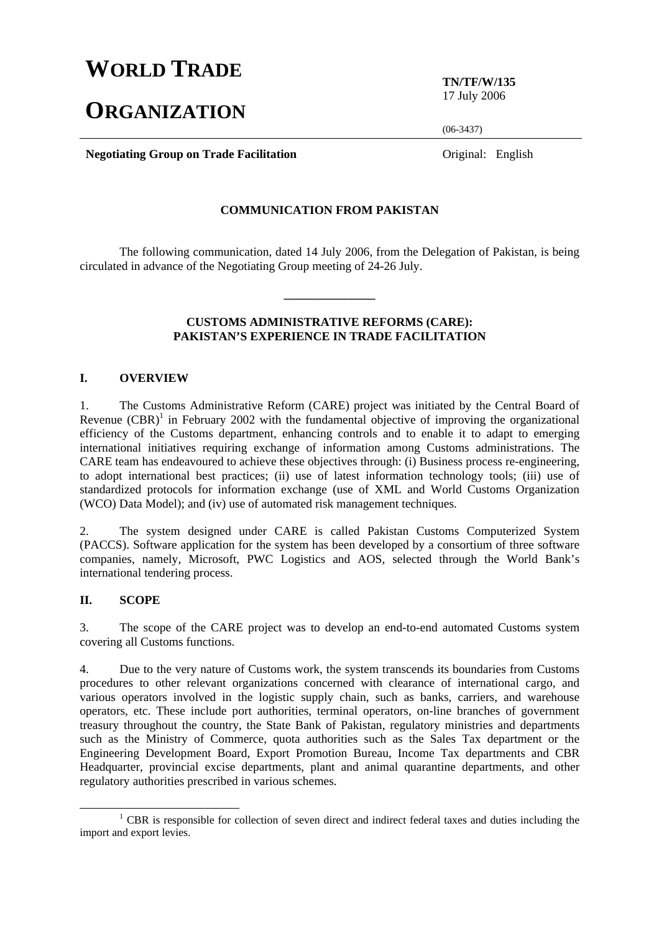# **WORLD TRADE**

# **ORGANIZATION**

**TN/TF/W/135**  17 July 2006

(06-3437)

**Negotiating Group on Trade Facilitation Constanting Constanting Group on Trade Facilitation Constanting Constanting Constanting Constanting Constanting Constanting Constanting Constanting Constanting Constanting Const** 

#### **COMMUNICATION FROM PAKISTAN**

 The following communication, dated 14 July 2006, from the Delegation of Pakistan, is being circulated in advance of the Negotiating Group meeting of 24-26 July.

**\_\_\_\_\_\_\_\_\_\_\_\_\_\_\_** 

#### **CUSTOMS ADMINISTRATIVE REFORMS (CARE): PAKISTAN'S EXPERIENCE IN TRADE FACILITATION**

#### **I. OVERVIEW**

1. The Customs Administrative Reform (CARE) project was initiated by the Central Board of Revenue  $(CBR)^1$  in February 2002 with the fundamental objective of improving the organizational efficiency of the Customs department, enhancing controls and to enable it to adapt to emerging international initiatives requiring exchange of information among Customs administrations. The CARE team has endeavoured to achieve these objectives through: (i) Business process re-engineering, to adopt international best practices; (ii) use of latest information technology tools; (iii) use of standardized protocols for information exchange (use of XML and World Customs Organization (WCO) Data Model); and (iv) use of automated risk management techniques.

2. The system designed under CARE is called Pakistan Customs Computerized System (PACCS). Software application for the system has been developed by a consortium of three software companies, namely, Microsoft, PWC Logistics and AOS, selected through the World Bank's international tendering process.

#### **II. SCOPE**

3. The scope of the CARE project was to develop an end-to-end automated Customs system covering all Customs functions.

4. Due to the very nature of Customs work, the system transcends its boundaries from Customs procedures to other relevant organizations concerned with clearance of international cargo, and various operators involved in the logistic supply chain, such as banks, carriers, and warehouse operators, etc. These include port authorities, terminal operators, on-line branches of government treasury throughout the country, the State Bank of Pakistan, regulatory ministries and departments such as the Ministry of Commerce, quota authorities such as the Sales Tax department or the Engineering Development Board, Export Promotion Bureau, Income Tax departments and CBR Headquarter, provincial excise departments, plant and animal quarantine departments, and other regulatory authorities prescribed in various schemes.

<sup>&</sup>lt;u>1</u> <sup>1</sup> CBR is responsible for collection of seven direct and indirect federal taxes and duties including the import and export levies.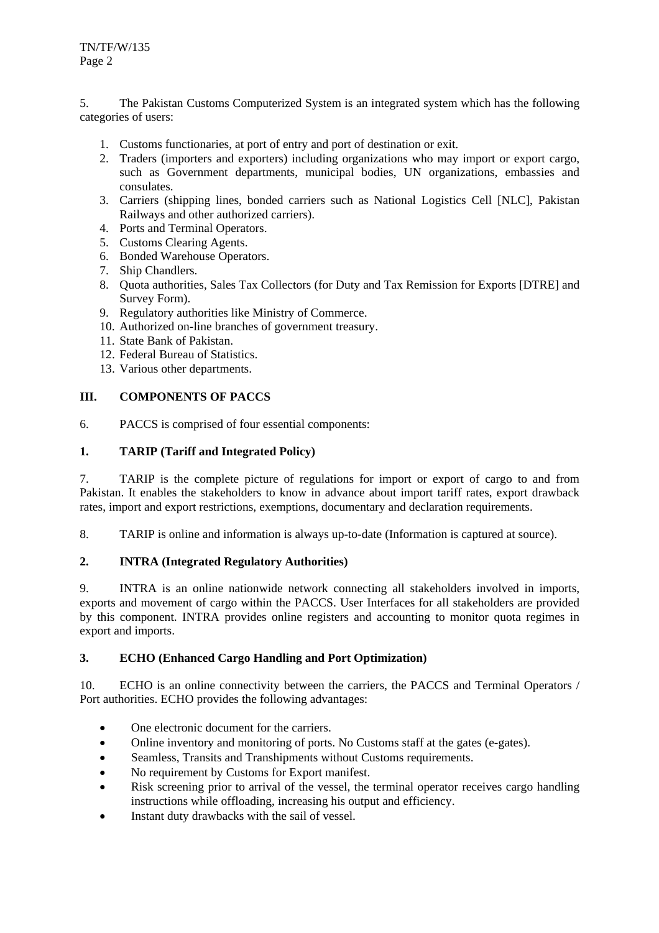5. The Pakistan Customs Computerized System is an integrated system which has the following categories of users:

- 1. Customs functionaries, at port of entry and port of destination or exit.
- 2. Traders (importers and exporters) including organizations who may import or export cargo, such as Government departments, municipal bodies, UN organizations, embassies and consulates.
- 3. Carriers (shipping lines, bonded carriers such as National Logistics Cell [NLC], Pakistan Railways and other authorized carriers).
- 4. Ports and Terminal Operators.
- 5. Customs Clearing Agents.
- 6. Bonded Warehouse Operators.
- 7. Ship Chandlers.
- 8. Quota authorities, Sales Tax Collectors (for Duty and Tax Remission for Exports [DTRE] and Survey Form).
- 9. Regulatory authorities like Ministry of Commerce.
- 10. Authorized on-line branches of government treasury.
- 11. State Bank of Pakistan.
- 12. Federal Bureau of Statistics.
- 13. Various other departments.

## **III. COMPONENTS OF PACCS**

6. PACCS is comprised of four essential components:

#### **1. TARIP (Tariff and Integrated Policy)**

7. TARIP is the complete picture of regulations for import or export of cargo to and from Pakistan. It enables the stakeholders to know in advance about import tariff rates, export drawback rates, import and export restrictions, exemptions, documentary and declaration requirements.

8. TARIP is online and information is always up-to-date (Information is captured at source).

### **2. INTRA (Integrated Regulatory Authorities)**

9. INTRA is an online nationwide network connecting all stakeholders involved in imports, exports and movement of cargo within the PACCS. User Interfaces for all stakeholders are provided by this component. INTRA provides online registers and accounting to monitor quota regimes in export and imports.

#### **3. ECHO (Enhanced Cargo Handling and Port Optimization)**

10. ECHO is an online connectivity between the carriers, the PACCS and Terminal Operators / Port authorities. ECHO provides the following advantages:

- One electronic document for the carriers.
- Online inventory and monitoring of ports. No Customs staff at the gates (e-gates).
- Seamless, Transits and Transhipments without Customs requirements.
- No requirement by Customs for Export manifest.
- Risk screening prior to arrival of the vessel, the terminal operator receives cargo handling instructions while offloading, increasing his output and efficiency.
- Instant duty drawbacks with the sail of vessel.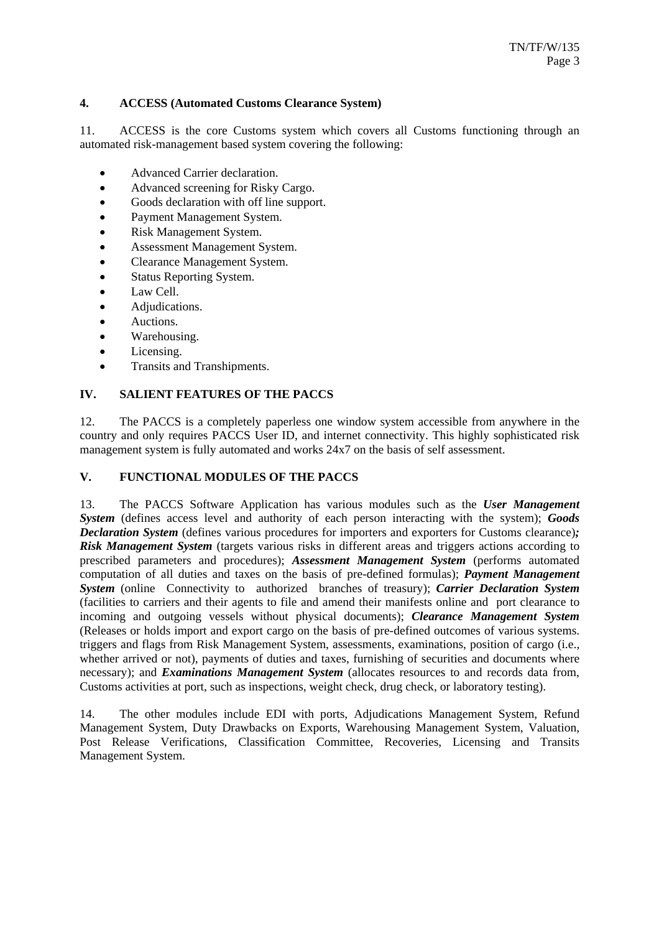## **4. ACCESS (Automated Customs Clearance System)**

11. ACCESS is the core Customs system which covers all Customs functioning through an automated risk-management based system covering the following:

- Advanced Carrier declaration.
- Advanced screening for Risky Cargo.
- Goods declaration with off line support.
- Payment Management System.
- Risk Management System.
- Assessment Management System.
- Clearance Management System.
- Status Reporting System.
- Law Cell.
- Adjudications.
- Auctions.
- Warehousing.
- Licensing.
- Transits and Transhipments.

## **IV. SALIENT FEATURES OF THE PACCS**

12. The PACCS is a completely paperless one window system accessible from anywhere in the country and only requires PACCS User ID, and internet connectivity. This highly sophisticated risk management system is fully automated and works 24x7 on the basis of self assessment.

#### **V. FUNCTIONAL MODULES OF THE PACCS**

13. The PACCS Software Application has various modules such as the *User Management System* (defines access level and authority of each person interacting with the system); *Goods Declaration System* (defines various procedures for importers and exporters for Customs clearance)*; Risk Management System* (targets various risks in different areas and triggers actions according to prescribed parameters and procedures); *Assessment Management System* (performs automated computation of all duties and taxes on the basis of pre-defined formulas); *Payment Management System* (online Connectivity to authorized branches of treasury); *Carrier Declaration System*  (facilities to carriers and their agents to file and amend their manifests online and port clearance to incoming and outgoing vessels without physical documents); *Clearance Management System* (Releases or holds import and export cargo on the basis of pre-defined outcomes of various systems. triggers and flags from Risk Management System, assessments, examinations, position of cargo (i.e., whether arrived or not), payments of duties and taxes, furnishing of securities and documents where necessary); and *Examinations Management System* (allocates resources to and records data from, Customs activities at port, such as inspections, weight check, drug check, or laboratory testing).

14. The other modules include EDI with ports, Adjudications Management System, Refund Management System, Duty Drawbacks on Exports, Warehousing Management System, Valuation, Post Release Verifications, Classification Committee, Recoveries, Licensing and Transits Management System.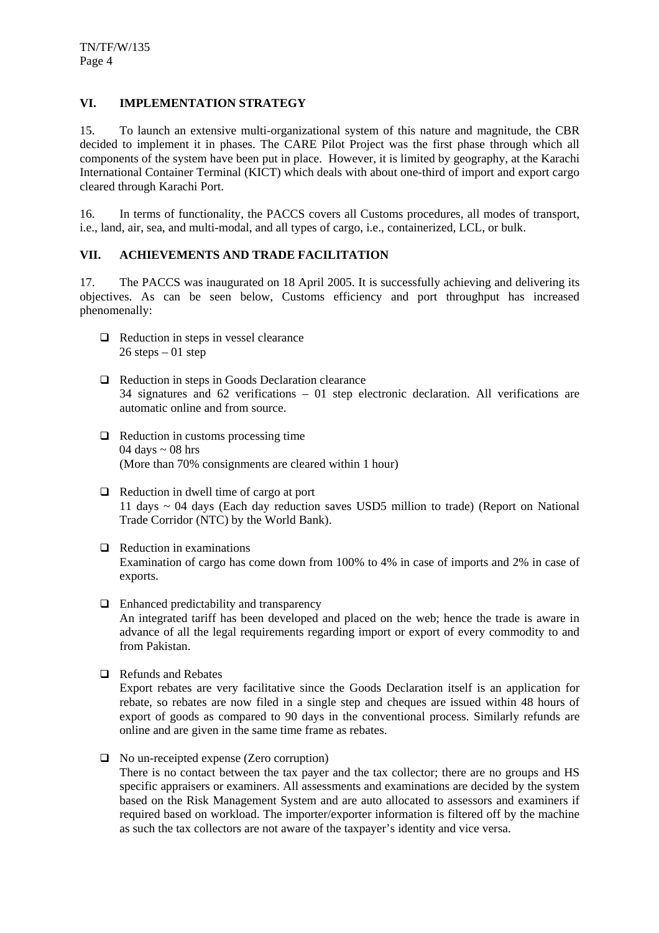## **VI. IMPLEMENTATION STRATEGY**

15. To launch an extensive multi-organizational system of this nature and magnitude, the CBR decided to implement it in phases. The CARE Pilot Project was the first phase through which all components of the system have been put in place. However, it is limited by geography, at the Karachi International Container Terminal (KICT) which deals with about one-third of import and export cargo cleared through Karachi Port.

16. In terms of functionality, the PACCS covers all Customs procedures, all modes of transport, i.e., land, air, sea, and multi-modal, and all types of cargo, i.e., containerized, LCL, or bulk.

## **VII. ACHIEVEMENTS AND TRADE FACILITATION**

17. The PACCS was inaugurated on 18 April 2005. It is successfully achieving and delivering its objectives. As can be seen below, Customs efficiency and port throughput has increased phenomenally:

- $\Box$  Reduction in steps in vessel clearance  $26$  steps  $-01$  step
- $\Box$  Reduction in steps in Goods Declaration clearance 34 signatures and 62 verifications – 01 step electronic declaration. All verifications are automatic online and from source.
- $\Box$  Reduction in customs processing time 04 days  $\sim$  08 hrs (More than 70% consignments are cleared within 1 hour)
- $\Box$  Reduction in dwell time of cargo at port 11 days ~ 04 days (Each day reduction saves USD5 million to trade) (Report on National Trade Corridor (NTC) by the World Bank).
- $\Box$  Reduction in examinations Examination of cargo has come down from 100% to 4% in case of imports and 2% in case of exports.
- $\Box$  Enhanced predictability and transparency An integrated tariff has been developed and placed on the web; hence the trade is aware in advance of all the legal requirements regarding import or export of every commodity to and from Pakistan.
- □ Refunds and Rebates

Export rebates are very facilitative since the Goods Declaration itself is an application for rebate, so rebates are now filed in a single step and cheques are issued within 48 hours of export of goods as compared to 90 days in the conventional process. Similarly refunds are online and are given in the same time frame as rebates.

No un-receipted expense (Zero corruption)

There is no contact between the tax payer and the tax collector; there are no groups and HS specific appraisers or examiners. All assessments and examinations are decided by the system based on the Risk Management System and are auto allocated to assessors and examiners if required based on workload. The importer/exporter information is filtered off by the machine as such the tax collectors are not aware of the taxpayer's identity and vice versa.